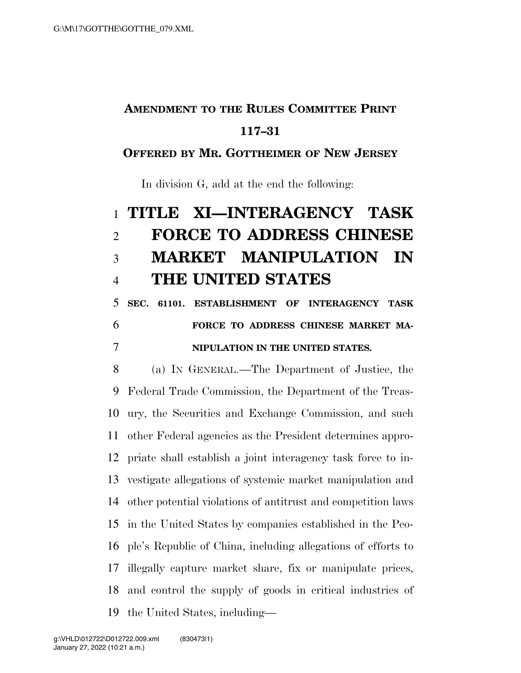## **AMENDMENT TO THE RULES COMMITTEE PRINT 117–31**

#### **OFFERED BY MR. GOTTHEIMER OF NEW JERSEY**

In division G, add at the end the following:

# **TITLE XI—INTERAGENCY TASK FORCE TO ADDRESS CHINESE MARKET MANIPULATION IN THE UNITED STATES**

# **SEC. 61101. ESTABLISHMENT OF INTERAGENCY TASK FORCE TO ADDRESS CHINESE MARKET MA-NIPULATION IN THE UNITED STATES.**

 (a) IN GENERAL.—The Department of Justice, the Federal Trade Commission, the Department of the Treas- ury, the Securities and Exchange Commission, and such other Federal agencies as the President determines appro- priate shall establish a joint interagency task force to in- vestigate allegations of systemic market manipulation and other potential violations of antitrust and competition laws in the United States by companies established in the Peo- ple's Republic of China, including allegations of efforts to illegally capture market share, fix or manipulate prices, and control the supply of goods in critical industries of the United States, including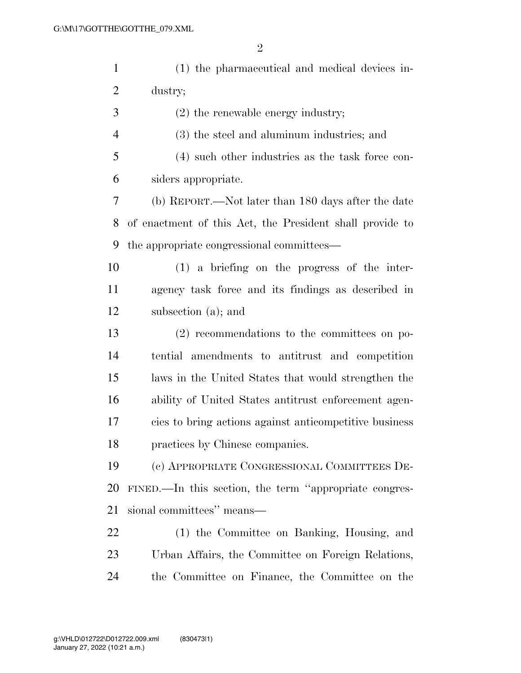| $\mathbf{1}$   | (1) the pharmaceutical and medical devices in-           |
|----------------|----------------------------------------------------------|
| $\overline{2}$ | dustry;                                                  |
| 3              | $(2)$ the renewable energy industry;                     |
| $\overline{4}$ | (3) the steel and aluminum industries; and               |
| 5              | (4) such other industries as the task force con-         |
| 6              | siders appropriate.                                      |
| 7              | (b) REPORT.—Not later than 180 days after the date       |
| 8              | of enactment of this Act, the President shall provide to |
| 9              | the appropriate congressional committees—                |
| 10             | $(1)$ a briefing on the progress of the inter-           |
| 11             | agency task force and its findings as described in       |
| 12             | subsection (a); and                                      |
| 13             | $(2)$ recommendations to the committees on po-           |
| 14             | tential amendments to antitrust and competition          |
| 15             | laws in the United States that would strengthen the      |
| 16             | ability of United States antitrust enforcement agen-     |
| 17             | cies to bring actions against anticompetitive business   |
| 18             | practices by Chinese companies.                          |
| 19             | (c) APPROPRIATE CONGRESSIONAL COMMITTEES DE-             |
| 20             | FINED.—In this section, the term "appropriate congres-   |
| 21             | sional committees" means—                                |
| 22             | (1) the Committee on Banking, Housing, and               |
| 23             | Urban Affairs, the Committee on Foreign Relations,       |
| 24             | the Committee on Finance, the Committee on the           |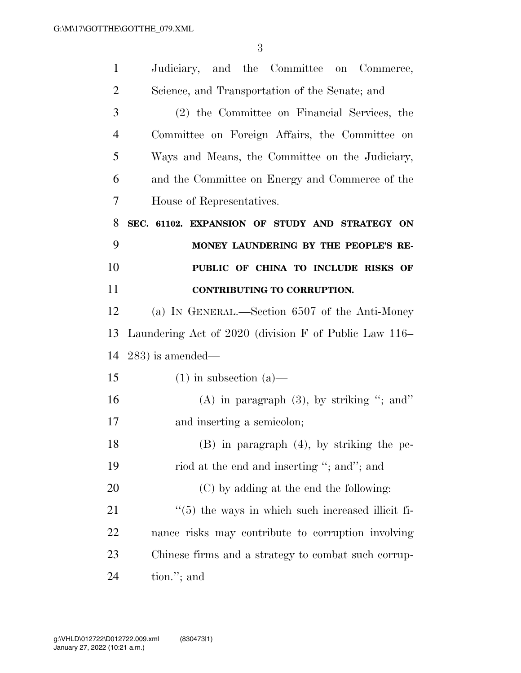| $\mathbf{1}$   | Judiciary, and the Committee on Commerce,                     |
|----------------|---------------------------------------------------------------|
| $\overline{2}$ | Science, and Transportation of the Senate; and                |
| 3              | (2) the Committee on Financial Services, the                  |
| 4              | Committee on Foreign Affairs, the Committee on                |
| 5              | Ways and Means, the Committee on the Judiciary,               |
| 6              | and the Committee on Energy and Commerce of the               |
| 7              | House of Representatives.                                     |
| 8              | SEC. 61102. EXPANSION OF STUDY AND STRATEGY ON                |
| 9              | MONEY LAUNDERING BY THE PEOPLE'S RE-                          |
| 10             | PUBLIC OF CHINA TO INCLUDE RISKS OF                           |
| 11             | CONTRIBUTING TO CORRUPTION.                                   |
| 12             | (a) IN GENERAL.—Section 6507 of the Anti-Money                |
| 13             | Laundering Act of 2020 (division F of Public Law 116–         |
| 14             | $(283)$ is amended—                                           |
| 15             | $(1)$ in subsection $(a)$ —                                   |
| 16             | $(A)$ in paragraph $(3)$ , by striking "; and"                |
| 17             | and inserting a semicolon;                                    |
| 18             | $(B)$ in paragraph $(4)$ , by striking the pe-                |
| 19             | riod at the end and inserting "; and"; and                    |
| 20             | (C) by adding at the end the following:                       |
| 21             | $\cdot\cdot$ (5) the ways in which such increased illicit fi- |
| 22             | nance risks may contribute to corruption involving            |
| 23             | Chinese firms and a strategy to combat such corrup-           |
| 24             | tion."; and                                                   |